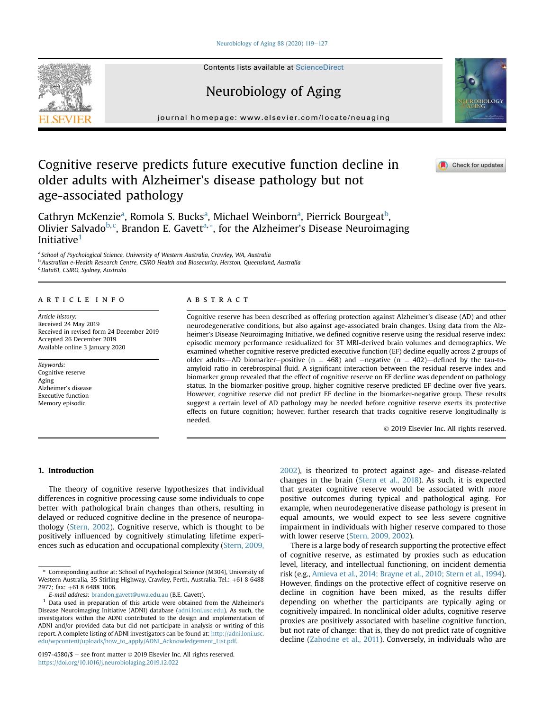### [Neurobiology of Aging 88 \(2020\) 119](https://doi.org/10.1016/j.neurobiolaging.2019.12.022)-[127](https://doi.org/10.1016/j.neurobiolaging.2019.12.022)

Contents lists available at ScienceDirect

# Neurobiology of Aging

journal homepage: [www.elsevier.com/locate/neuaging](http://www.elsevier.com/locate/neuaging)

# Cognitive reserve predicts future executive function decline in older adults with Alzheimer's disease pathology but not age-associated pathology

C[a](#page-0-0)thryn McKenzie<sup>a</sup>, Romola S. Bucks<sup>a</sup>, Michael Wein[b](#page-0-1)orn<sup>a</sup>, Pierrick Bourgeat<sup>b</sup>, Olivier Salvado<sup>[b,](#page-0-1) [c](#page-0-2)</sup>, Brandon E. Gavett<sup>[a,](#page-0-0) [\\*](#page-0-3)</sup>, for the Alzheimer's Disease Neuroimaging Initiative<sup>[1](#page-0-4)</sup>

<span id="page-0-1"></span><span id="page-0-0"></span><sup>a</sup> School of Psychological Science, University of Western Australia, Crawley, WA, Australia **b Australian e-Health Research Centre, CSIRO Health and Biosecurity, Herston, Queensland, Australia** 

<span id="page-0-2"></span><sup>c</sup> Data61, CSIRO, Sydney, Australia

# article info

Article history: Received 24 May 2019 Received in revised form 24 December 2019 Accepted 26 December 2019 Available online 3 January 2020

Keywords: Cognitive reserve Aging Alzheimer's disease Executive function Memory episodic

# **ABSTRACT**

Cognitive reserve has been described as offering protection against Alzheimer's disease (AD) and other neurodegenerative conditions, but also against age-associated brain changes. Using data from the Alzheimer's Disease Neuroimaging Initiative, we defined cognitive reserve using the residual reserve index: episodic memory performance residualized for 3T MRI-derived brain volumes and demographics. We examined whether cognitive reserve predicted executive function (EF) decline equally across 2 groups of older adults—AD biomarker-positive (n = 468) and -negative (n = 402)—defined by the tau-toamyloid ratio in cerebrospinal fluid. A significant interaction between the residual reserve index and biomarker group revealed that the effect of cognitive reserve on EF decline was dependent on pathology status. In the biomarker-positive group, higher cognitive reserve predicted EF decline over five years. However, cognitive reserve did not predict EF decline in the biomarker-negative group. These results suggest a certain level of AD pathology may be needed before cognitive reserve exerts its protective effects on future cognition; however, further research that tracks cognitive reserve longitudinally is needed.

2019 Elsevier Inc. All rights reserved.

# 1. Introduction

The theory of cognitive reserve hypothesizes that individual differences in cognitive processing cause some individuals to cope better with pathological brain changes than others, resulting in delayed or reduced cognitive decline in the presence of neuropathology ([Stern, 2002](#page-8-0)). Cognitive reserve, which is thought to be positively influenced by cognitively stimulating lifetime experiences such as education and occupational complexity [\(Stern, 2009,](#page-8-1) [2002](#page-8-1)), is theorized to protect against age- and disease-related changes in the brain ([Stern et al., 2018\)](#page-8-2). As such, it is expected that greater cognitive reserve would be associated with more positive outcomes during typical and pathological aging. For example, when neurodegenerative disease pathology is present in equal amounts, we would expect to see less severe cognitive impairment in individuals with higher reserve compared to those with lower reserve [\(Stern, 2009, 2002](#page-8-1)).

There is a large body of research supporting the protective effect of cognitive reserve, as estimated by proxies such as education level, literacy, and intellectual functioning, on incident dementia risk (e.g., [Amieva et al., 2014; Brayne et al., 2010; Stern et al., 1994\)](#page-7-0). However, findings on the protective effect of cognitive reserve on decline in cognition have been mixed, as the results differ depending on whether the participants are typically aging or cognitively impaired. In nonclinical older adults, cognitive reserve proxies are positively associated with baseline cognitive function, but not rate of change: that is, they do not predict rate of cognitive decline [\(Zahodne et al., 2011](#page-8-3)). Conversely, in individuals who are







<span id="page-0-3"></span>Corresponding author at: School of Psychological Science (M304), University of Western Australia, 35 Stirling Highway, Crawley, Perth, Australia. Tel.: +61 8 6488 2977; fax: +61 8 6488 1006.

E-mail address: [brandon.gavett@uwa.edu.au](mailto:brandon.gavett@uwa.edu.au) (B.E. Gavett).

<span id="page-0-4"></span><sup>1</sup> Data used in preparation of this article were obtained from the Alzheimer's Disease Neuroimaging Initiative (ADNI) database ([adni.loni.usc.edu](http://adni.loni.usc.edu)). As such, the investigators within the ADNI contributed to the design and implementation of ADNI and/or provided data but did not participate in analysis or writing of this report. A complete listing of ADNI investigators can be found at: [http://adni.loni.usc.](http://adni.loni.usc.edu/wpcontent/uploads/how_to_apply/ADNI_Acknowledgement_List.pdf) [edu/wpcontent/uploads/how\\_to\\_apply/ADNI\\_Acknowledgement\\_List.pdf](http://adni.loni.usc.edu/wpcontent/uploads/how_to_apply/ADNI_Acknowledgement_List.pdf).

<sup>0197-4580/\$ -</sup> see front matter  $\odot$  2019 Elsevier Inc. All rights reserved. <https://doi.org/10.1016/j.neurobiolaging.2019.12.022>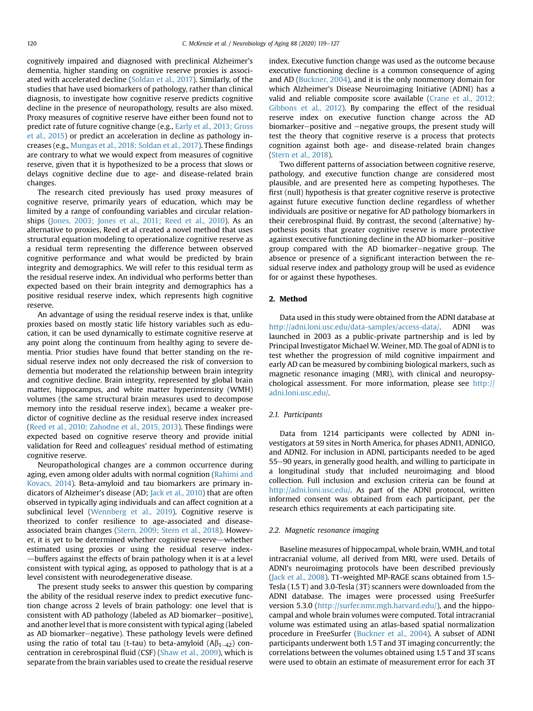cognitively impaired and diagnosed with preclinical Alzheimer's dementia, higher standing on cognitive reserve proxies is associated with accelerated decline ([Soldan et al., 2017\)](#page-8-4). Similarly, of the studies that have used biomarkers of pathology, rather than clinical diagnosis, to investigate how cognitive reserve predicts cognitive decline in the presence of neuropathology, results are also mixed. Proxy measures of cognitive reserve have either been found not to predict rate of future cognitive change (e.g., [Early et al., 2013; Gross](#page-7-1) [et al., 2015\)](#page-7-1) or predict an acceleration in decline as pathology increases (e.g., [Mungas et al., 2018; Soldan et al., 2017\)](#page-8-5). These findings are contrary to what we would expect from measures of cognitive reserve, given that it is hypothesized to be a process that slows or delays cognitive decline due to age- and disease-related brain changes.

The research cited previously has used proxy measures of cognitive reserve, primarily years of education, which may be limited by a range of confounding variables and circular relationships ([Jones, 2003; Jones et al., 2011; Reed et al., 2010](#page-7-2)). As an alternative to proxies, Reed et al created a novel method that uses structural equation modeling to operationalize cognitive reserve as a residual term representing the difference between observed cognitive performance and what would be predicted by brain integrity and demographics. We will refer to this residual term as the residual reserve index. An individual who performs better than expected based on their brain integrity and demographics has a positive residual reserve index, which represents high cognitive reserve.

An advantage of using the residual reserve index is that, unlike proxies based on mostly static life history variables such as education, it can be used dynamically to estimate cognitive reserve at any point along the continuum from healthy aging to severe dementia. Prior studies have found that better standing on the residual reserve index not only decreased the risk of conversion to dementia but moderated the relationship between brain integrity and cognitive decline. Brain integrity, represented by global brain matter, hippocampus, and white matter hyperintensity (WMH) volumes (the same structural brain measures used to decompose memory into the residual reserve index), became a weaker predictor of cognitive decline as the residual reserve index increased [\(Reed et al., 2010; Zahodne et al., 2015, 2013](#page-8-6)). These findings were expected based on cognitive reserve theory and provide initial validation for Reed and colleagues' residual method of estimating cognitive reserve.

Neuropathological changes are a common occurrence during aging, even among older adults with normal cognition ([Rahimi and](#page-8-7) [Kovacs, 2014\)](#page-8-7). Beta-amyloid and tau biomarkers are primary indicators of Alzheimer's disease (AD; [Jack et al., 2010](#page-7-3)) that are often observed in typically aging individuals and can affect cognition at a subclinical level [\(Wennberg et al., 2019](#page-8-8)). Cognitive reserve is theorized to confer resilience to age-associated and diseaseassociated brain changes ([Stern, 2009; Stern et al., 2018](#page-8-1)). However, it is yet to be determined whether cognitive reserve—whether estimated using proxies or using the residual reserve index--buffers against the effects of brain pathology when it is at a level consistent with typical aging, as opposed to pathology that is at a level consistent with neurodegenerative disease.

The present study seeks to answer this question by comparing the ability of the residual reserve index to predict executive function change across 2 levels of brain pathology: one level that is consistent with AD pathology (labeled as AD biomarker–positive), and another level that is more consistent with typical aging (labeled as AD biomarker–negative). These pathology levels were defined using the ratio of total tau (t-tau) to beta-amyloid  $(A\beta_{1-42})$  concentration in cerebrospinal fluid (CSF) ([Shaw et al., 2009\)](#page-8-9), which is separate from the brain variables used to create the residual reserve

index. Executive function change was used as the outcome because executive functioning decline is a common consequence of aging and AD ([Buckner, 2004\)](#page-7-4), and it is the only nonmemory domain for which Alzheimer's Disease Neuroimaging Initiative (ADNI) has a valid and reliable composite score available ([Crane et al., 2012;](#page-7-5) [Gibbons et al., 2012\)](#page-7-5). By comparing the effect of the residual reserve index on executive function change across the AD biomarker-positive and -negative groups, the present study will test the theory that cognitive reserve is a process that protects cognition against both age- and disease-related brain changes ([Stern et al., 2018\)](#page-8-2).

Two different patterns of association between cognitive reserve, pathology, and executive function change are considered most plausible, and are presented here as competing hypotheses. The first (null) hypothesis is that greater cognitive reserve is protective against future executive function decline regardless of whether individuals are positive or negative for AD pathology biomarkers in their cerebrospinal fluid. By contrast, the second (alternative) hypothesis posits that greater cognitive reserve is more protective against executive functioning decline in the AD biomarker-positive group compared with the AD biomarker-negative group. The absence or presence of a significant interaction between the residual reserve index and pathology group will be used as evidence for or against these hypotheses.

# 2. Method

Data used in this study were obtained from the ADNI database at [http://adni.loni.usc.edu/data-samples/access-data/.](http://adni.loni.usc.edu/data-samples/access-data/) ADNI was launched in 2003 as a public-private partnership and is led by Principal Investigator Michael W. Weiner, MD. The goal of ADNI is to test whether the progression of mild cognitive impairment and early AD can be measured by combining biological markers, such as magnetic resonance imaging (MRI), with clinical and neuropsychological assessment. For more information, please see [http://](http://adni.loni.usc.edu/) [adni.loni.usc.edu/.](http://adni.loni.usc.edu/)

## 2.1. Participants

Data from 1214 participants were collected by ADNI investigators at 59 sites in North America, for phases ADNI1, ADNIGO, and ADNI2. For inclusion in ADNI, participants needed to be aged 55–90 years, in generally good health, and willing to participate in a longitudinal study that included neuroimaging and blood collection. Full inclusion and exclusion criteria can be found at <http://adni.loni.usc.edu/>. As part of the ADNI protocol, written informed consent was obtained from each participant, per the research ethics requirements at each participating site.

#### 2.2. Magnetic resonance imaging

Baseline measures of hippocampal, whole brain, WMH, and total intracranial volume, all derived from MRI, were used. Details of ADNI's neuroimaging protocols have been described previously ([Jack et al., 2008](#page-7-6)). T1-weighted MP-RAGE scans obtained from 1.5- Tesla (1.5 T) and 3.0-Tesla (3T) scanners were downloaded from the ADNI database. The images were processed using FreeSurfer version 5.3.0 ([http://surfer.nmr.mgh.harvard.edu/\)](http://surfer.nmr.mgh.harvard.edu/), and the hippocampal and whole brain volumes were computed. Total intracranial volume was estimated using an atlas-based spatial normalization procedure in FreeSurfer ([Buckner et al., 2004](#page-7-7)). A subset of ADNI participants underwent both 1.5 T and 3T imaging concurrently; the correlations between the volumes obtained using 1.5 T and 3T scans were used to obtain an estimate of measurement error for each 3T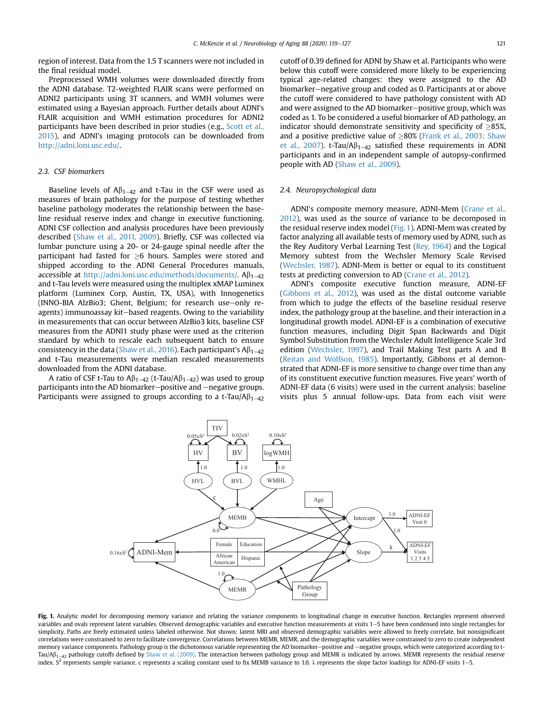region of interest. Data from the 1.5 T scanners were not included in the final residual model.

Preprocessed WMH volumes were downloaded directly from the ADNI database. T2-weighted FLAIR scans were performed on ADNI2 participants using 3T scanners, and WMH volumes were estimated using a Bayesian approach. Further details about ADNI's FLAIR acquisition and WMH estimation procedures for ADNI2 participants have been described in prior studies (e.g., [Scott et al.,](#page-8-10) [2015\)](#page-8-10), and ADNI's imaging protocols can be downloaded from <http://adni.loni.usc.edu/>.

# 2.3. CSF biomarkers

Baseline levels of  $A\beta_{1-42}$  and t-Tau in the CSF were used as measures of brain pathology for the purpose of testing whether baseline pathology moderates the relationship between the baseline residual reserve index and change in executive functioning. ADNI CSF collection and analysis procedures have been previously described [\(Shaw et al., 2011, 2009](#page-8-11)). Briefly, CSF was collected via lumbar puncture using a 20- or 24-gauge spinal needle after the participant had fasted for  $\geq$ 6 hours. Samples were stored and shipped according to the ADNI General Procedures manuals, accessible at <http://adni.loni.usc.edu/methods/documents/>.  $A\beta_{1-42}$ and t-Tau levels were measured using the multiplex xMAP Luminex platform (Luminex Corp, Austin, TX, USA), with Innogenetics (INNO-BIA AlzBio3; Ghent, Belgium; for research use-only reagents) immunoassay kit-based reagents. Owing to the variability in measurements that can occur between AlzBio3 kits, baseline CSF measures from the ADNI1 study phase were used as the criterion standard by which to rescale each subsequent batch to ensure consistency in the data ([Shaw et al., 2016](#page-8-12)). Each participant's  $A\beta_{1-42}$ and t-Tau measurements were median rescaled measurements downloaded from the ADNI database.

<span id="page-2-0"></span>A ratio of CSF t-Tau to  $A\beta_{1-42}$  (t-Tau/A $\beta_{1-42}$ ) was used to group participants into the AD biomarker–positive and –negative groups. Participants were assigned to groups according to a t-Tau/A $\beta_{1-42}$ 

cutoff of 0.39 defined for ADNI by Shaw et al. Participants who were below this cutoff were considered more likely to be experiencing typical age-related changes: they were assigned to the AD biomarker-negative group and coded as 0. Participants at or above the cutoff were considered to have pathology consistent with AD and were assigned to the AD biomarker-positive group, which was coded as 1. To be considered a useful biomarker of AD pathology, an indicator should demonstrate sensitivity and specificity of  $\geq$ 85%, and a positive predictive value of  $\geq$ 80% [\(Frank et al., 2003; Shaw](#page-7-8) [et al., 2007](#page-7-8)). t-Tau/A $\beta_{1-42}$  satisfied these requirements in ADNI participants and in an independent sample of autopsy-confirmed people with AD ([Shaw et al., 2009\)](#page-8-9).

## 2.4. Neuropsychological data

ADNI's composite memory measure, ADNI-Mem [\(Crane et al.,](#page-7-5) [2012\)](#page-7-5), was used as the source of variance to be decomposed in the residual reserve index model ([Fig. 1\)](#page-2-0). ADNI-Mem was created by factor analyzing all available tests of memory used by ADNI, such as the Rey Auditory Verbal Learning Test ([Rey, 1964\)](#page-8-13) and the Logical Memory subtest from the Wechsler Memory Scale Revised [\(Wechsler, 1987\)](#page-8-14). ADNI-Mem is better or equal to its constituent tests at predicting conversion to AD ([Crane et al., 2012\)](#page-7-5).

ADNI's composite executive function measure, ADNI-EF [\(Gibbons et al., 2012](#page-7-9)), was used as the distal outcome variable from which to judge the effects of the baseline residual reserve index, the pathology group at the baseline, and their interaction in a longitudinal growth model. ADNI-EF is a combination of executive function measures, including Digit Span Backwards and Digit Symbol Substitution from the Wechsler Adult Intelligence Scale 3rd edition [\(Wechsler, 1997](#page-8-15)), and Trail Making Test parts A and B [\(Reitan and Wolfson, 1985\)](#page-8-16). Importantly, Gibbons et al demonstrated that ADNI-EF is more sensitive to change over time than any of its constituent executive function measures. Five years' worth of ADNI-EF data (6 visits) were used in the current analysis: baseline visits plus 5 annual follow-ups. Data from each visit were



Fig. 1. Analytic model for decomposing memory variance and relating the variance components to longitudinal change in executive function. Rectangles represent observed variables and ovals represent latent variables. Observed demographic variables and executive function measurements at visits 1–5 have been condensed into single rectangles for simplicity. Paths are freely estimated unless labeled otherwise. Not shown: latent MRI and observed demographic variables were allowed to freely correlate, but nonsignificant correlations were constrained to zero to facilitate convergence. Correlations between MEMB, MEMR, and the demographic variables were constrained to zero to create independent memory variance components. Pathology group is the dichotomous variable representing the AD biomarker-positive and -negative groups, which were categorized according to t- $Tau/A\beta_{1-42}$  pathology cutoffs defined by [Shaw et al. \(2009\)](#page-8-9). The interaction between pathology group and MEMR is indicated by arrows. MEMR represents the residual reserve index. S<sup>2</sup> represents sample variance. c represents a scaling constant used to fix MEMB variance to 1.0.  $\lambda$  represents the slope factor loadings for ADNI-EF visits 1-5.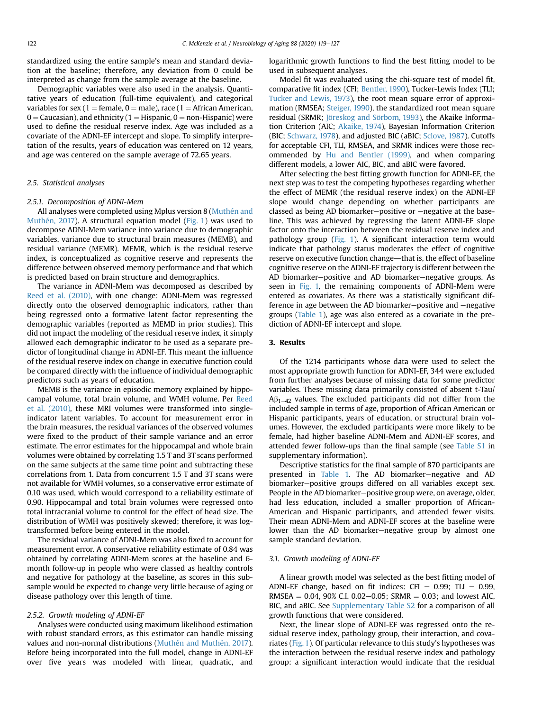standardized using the entire sample's mean and standard deviation at the baseline; therefore, any deviation from 0 could be interpreted as change from the sample average at the baseline.

Demographic variables were also used in the analysis. Quantitative years of education (full-time equivalent), and categorical variables for sex (1 = female, 0 = male), race (1 = African American,  $0 =$  Caucasian), and ethnicity (1 = Hispanic, 0 = non-Hispanic) were used to define the residual reserve index. Age was included as a covariate of the ADNI-EF intercept and slope. To simplify interpretation of the results, years of education was centered on 12 years, and age was centered on the sample average of 72.65 years.

# 2.5. Statistical analyses

#### 2.5.1. Decomposition of ADNI-Mem

All analyses were completed using Mplus version 8 [\(Muthén and](#page-8-17) [Muthén, 2017](#page-8-17)). A structural equation model ([Fig. 1](#page-2-0)) was used to decompose ADNI-Mem variance into variance due to demographic variables, variance due to structural brain measures (MEMB), and residual variance (MEMR). MEMR, which is the residual reserve index, is conceptualized as cognitive reserve and represents the difference between observed memory performance and that which is predicted based on brain structure and demographics.

The variance in ADNI-Mem was decomposed as described by [Reed et al. \(2010\),](#page-8-6) with one change: ADNI-Mem was regressed directly onto the observed demographic indicators, rather than being regressed onto a formative latent factor representing the demographic variables (reported as MEMD in prior studies). This did not impact the modeling of the residual reserve index, it simply allowed each demographic indicator to be used as a separate predictor of longitudinal change in ADNI-EF. This meant the influence of the residual reserve index on change in executive function could be compared directly with the influence of individual demographic predictors such as years of education.

MEMB is the variance in episodic memory explained by hippocampal volume, total brain volume, and WMH volume. Per [Reed](#page-8-6) [et al. \(2010\)](#page-8-6), these MRI volumes were transformed into singleindicator latent variables. To account for measurement error in the brain measures, the residual variances of the observed volumes were fixed to the product of their sample variance and an error estimate. The error estimates for the hippocampal and whole brain volumes were obtained by correlating 1.5 T and 3T scans performed on the same subjects at the same time point and subtracting these correlations from 1. Data from concurrent 1.5 T and 3T scans were not available for WMH volumes, so a conservative error estimate of 0.10 was used, which would correspond to a reliability estimate of 0.90. Hippocampal and total brain volumes were regressed onto total intracranial volume to control for the effect of head size. The distribution of WMH was positively skewed; therefore, it was logtransformed before being entered in the model.

The residual variance of ADNI-Mem was also fixed to account for measurement error. A conservative reliability estimate of 0.84 was obtained by correlating ADNI-Mem scores at the baseline and 6 month follow-up in people who were classed as healthy controls and negative for pathology at the baseline, as scores in this subsample would be expected to change very little because of aging or disease pathology over this length of time.

#### 2.5.2. Growth modeling of ADNI-EF

Analyses were conducted using maximum likelihood estimation with robust standard errors, as this estimator can handle missing values and non-normal distributions [\(Muthén and Muthén, 2017\)](#page-8-17). Before being incorporated into the full model, change in ADNI-EF over five years was modeled with linear, quadratic, and

logarithmic growth functions to find the best fitting model to be used in subsequent analyses.

Model fit was evaluated using the chi-square test of model fit, comparative fit index (CFI; [Bentler, 1990\)](#page-7-10), Tucker-Lewis Index (TLI; [Tucker and Lewis, 1973](#page-8-18)), the root mean square error of approximation (RMSEA; [Steiger, 1990\)](#page-8-19), the standardized root mean square residual (SRMR; [Jöreskog and Sörbom, 1993](#page-7-11)), the Akaike Information Criterion (AIC; [Akaike, 1974\)](#page-7-12), Bayesian Information Criterion (BIC; [Schwarz, 1978\)](#page-8-20), and adjusted BIC (aBIC; [Sclove, 1987\)](#page-8-21). Cutoffs for acceptable CFI, TLI, RMSEA, and SRMR indices were those recommended by [Hu and Bentler \(1999\),](#page-7-13) and when comparing different models, a lower AIC, BIC, and aBIC were favored.

After selecting the best fitting growth function for ADNI-EF, the next step was to test the competing hypotheses regarding whether the effect of MEMR (the residual reserve index) on the ADNI-EF slope would change depending on whether participants are classed as being AD biomarker-positive or  $-$ negative at the baseline. This was achieved by regressing the latent ADNI-EF slope factor onto the interaction between the residual reserve index and pathology group ([Fig. 1\)](#page-2-0). A significant interaction term would indicate that pathology status moderates the effect of cognitive reserve on executive function change—that is, the effect of baseline cognitive reserve on the ADNI-EF trajectory is different between the AD biomarker-positive and AD biomarker-negative groups. As seen in [Fig. 1,](#page-2-0) the remaining components of ADNI-Mem were entered as covariates. As there was a statistically significant difference in age between the AD biomarker-positive and  $-\text{negative}$ groups [\(Table 1\)](#page-4-0), age was also entered as a covariate in the prediction of ADNI-EF intercept and slope.

#### 3. Results

Of the 1214 participants whose data were used to select the most appropriate growth function for ADNI-EF, 344 were excluded from further analyses because of missing data for some predictor variables. These missing data primarily consisted of absent t-Tau/  $A\beta_{1-42}$  values. The excluded participants did not differ from the included sample in terms of age, proportion of African American or Hispanic participants, years of education, or structural brain volumes. However, the excluded participants were more likely to be female, had higher baseline ADNI-Mem and ADNI-EF scores, and attended fewer follow-ups than the final sample (see Table S1 in supplementary information).

Descriptive statistics for the final sample of 870 participants are presented in [Table 1.](#page-4-0) The AD biomarker-negative and AD biomarker-positive groups differed on all variables except sex. People in the AD biomarker-positive group were, on average, older, had less education, included a smaller proportion of African-American and Hispanic participants, and attended fewer visits. Their mean ADNI-Mem and ADNI-EF scores at the baseline were lower than the AD biomarker–negative group by almost one sample standard deviation.

## 3.1. Growth modeling of ADNI-EF

A linear growth model was selected as the best fitting model of ADNI-EF change, based on fit indices: CFI =  $0.99$ ; TLI =  $0.99$ , RMSEA =  $0.04$ , 90% C.I. 0.02–0.05; SRMR = 0.03; and lowest AIC, BIC, and aBIC. See Supplementary Table S2 for a comparison of all growth functions that were considered.

Next, the linear slope of ADNI-EF was regressed onto the residual reserve index, pathology group, their interaction, and covariates ([Fig. 1\)](#page-2-0). Of particular relevance to this study's hypotheses was the interaction between the residual reserve index and pathology group: a significant interaction would indicate that the residual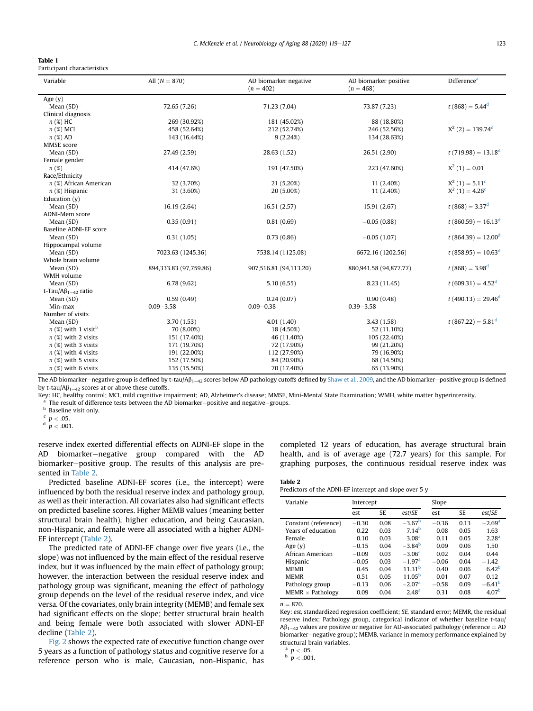<span id="page-4-0"></span>

| <b>Table 1</b>              |
|-----------------------------|
| Participant characteristics |

| Age $(y)$<br>$t(868) = 5.44^d$<br>72.65 (7.26)<br>71.23 (7.04)<br>73.87 (7.23)<br>Mean (SD)<br>Clinical diagnosis<br>$n$ (%) HC<br>269 (30.92%)<br>181 (45.02%)<br>88 (18.80%)<br>$X^2(2) = 139.74^d$<br>246 (52.56%)<br>$n$ (%) MCI<br>458 (52.64%)<br>212 (52.74%)<br>143 (16.44%)<br>9(2.24%)<br>134 (28.63%)<br>$n$ (%) AD<br>MMSE score<br>$t(719.98) = 13.18^d$<br>Mean (SD)<br>27.49 (2.59)<br>28.63 (1.52)<br>26.51 (2.90)<br>Female gender<br>$X^2(1) = 0.01$<br>$n(\%)$<br>191 (47.50%)<br>223 (47.60%)<br>414 (47.6%)<br>Race/Ethnicity<br>$X^2(1) = 5.11^c$<br>32 (3.70%)<br>11 (2.40%)<br>$n$ (%) African American<br>21 (5.20%)<br>$X^2(1) = 4.26^c$<br>11 (2.40%)<br>31 (3.60%)<br>20 (5.00%)<br>$n$ (%) Hispanic<br>Education $(y)$<br>$t(868) = 3.37^d$<br>16.19 (2.64)<br>16.51 (2.57)<br>15.91 (2.67)<br>Mean (SD)<br>ADNI-Mem score<br>0.35(0.91)<br>$-0.05(0.88)$<br>$t(860.59) = 16.13d$<br>0.81(0.69)<br>Mean (SD)<br>Baseline ADNI-EF score<br>$-0.05(1.07)$<br>$t(864.39) = 12.00d$<br>Mean (SD)<br>0.31(1.05)<br>0.73(0.86)<br>Hippocampal volume<br>$t(858.95) = 10.63^d$<br>Mean (SD)<br>7023.63 (1245.36)<br>7538.14 (1125.08)<br>6672.16 (1202.56)<br>Whole brain volume<br>$t(868) = 3.98^d$<br>Mean (SD)<br>894,333.83 (97,759.86)<br>907,516.81 (94,113.20)<br>880,941.58 (94,877.77)<br>WMH volume<br>$t(609.31) = 4.52d$<br>Mean (SD)<br>6.78(9.62)<br>5.10(6.55)<br>8.23 (11.45)<br>t-Tau/ $A\beta_{1-42}$ ratio<br>$t(490.13) = 29.46^d$<br>Mean (SD)<br>0.59(0.49)<br>0.24(0.07)<br>0.90(0.48)<br>$0.09 - 0.38$<br>Min-max<br>$0.09 - 3.58$<br>$0.39 - 3.58$<br>Number of visits<br>$t(867.22) = 5.81d$<br>3.70(1.53)<br>4.01(1.40)<br>3.43(1.58)<br>Mean (SD)<br>$n$ (%) with 1 visit <sup>b</sup><br>70 (8.00%)<br>52 (11.10%)<br>18 (4.50%)<br>$n$ (%) with 2 visits<br>151 (17.40%)<br>46 (11.40%)<br>105 (22.40%)<br>$n$ (%) with 3 visits<br>99 (21.20%)<br>171 (19.70%)<br>72 (17.90%)<br>$n$ (%) with 4 visits<br>191 (22.00%)<br>112 (27.90%)<br>79 (16.90%)<br>$n$ (%) with 5 visits<br>152 (17.50%)<br>84 (20.90%)<br>68 (14.50%)<br>$n$ (%) with 6 visits<br>135 (15.50%)<br>70 (17.40%)<br>65 (13.90%) | Variable | All $(N = 870)$ | AD biomarker negative<br>$(n = 402)$ | Difference <sup>a</sup><br>AD biomarker positive<br>$(n = 468)$ |  |
|-----------------------------------------------------------------------------------------------------------------------------------------------------------------------------------------------------------------------------------------------------------------------------------------------------------------------------------------------------------------------------------------------------------------------------------------------------------------------------------------------------------------------------------------------------------------------------------------------------------------------------------------------------------------------------------------------------------------------------------------------------------------------------------------------------------------------------------------------------------------------------------------------------------------------------------------------------------------------------------------------------------------------------------------------------------------------------------------------------------------------------------------------------------------------------------------------------------------------------------------------------------------------------------------------------------------------------------------------------------------------------------------------------------------------------------------------------------------------------------------------------------------------------------------------------------------------------------------------------------------------------------------------------------------------------------------------------------------------------------------------------------------------------------------------------------------------------------------------------------------------------------------------------------------------------------------------------------------------------------------------------------------------------------------------------------------------------------------------------------------------------------------------------------|----------|-----------------|--------------------------------------|-----------------------------------------------------------------|--|
|                                                                                                                                                                                                                                                                                                                                                                                                                                                                                                                                                                                                                                                                                                                                                                                                                                                                                                                                                                                                                                                                                                                                                                                                                                                                                                                                                                                                                                                                                                                                                                                                                                                                                                                                                                                                                                                                                                                                                                                                                                                                                                                                                           |          |                 |                                      |                                                                 |  |
|                                                                                                                                                                                                                                                                                                                                                                                                                                                                                                                                                                                                                                                                                                                                                                                                                                                                                                                                                                                                                                                                                                                                                                                                                                                                                                                                                                                                                                                                                                                                                                                                                                                                                                                                                                                                                                                                                                                                                                                                                                                                                                                                                           |          |                 |                                      |                                                                 |  |
|                                                                                                                                                                                                                                                                                                                                                                                                                                                                                                                                                                                                                                                                                                                                                                                                                                                                                                                                                                                                                                                                                                                                                                                                                                                                                                                                                                                                                                                                                                                                                                                                                                                                                                                                                                                                                                                                                                                                                                                                                                                                                                                                                           |          |                 |                                      |                                                                 |  |
|                                                                                                                                                                                                                                                                                                                                                                                                                                                                                                                                                                                                                                                                                                                                                                                                                                                                                                                                                                                                                                                                                                                                                                                                                                                                                                                                                                                                                                                                                                                                                                                                                                                                                                                                                                                                                                                                                                                                                                                                                                                                                                                                                           |          |                 |                                      |                                                                 |  |
|                                                                                                                                                                                                                                                                                                                                                                                                                                                                                                                                                                                                                                                                                                                                                                                                                                                                                                                                                                                                                                                                                                                                                                                                                                                                                                                                                                                                                                                                                                                                                                                                                                                                                                                                                                                                                                                                                                                                                                                                                                                                                                                                                           |          |                 |                                      |                                                                 |  |
|                                                                                                                                                                                                                                                                                                                                                                                                                                                                                                                                                                                                                                                                                                                                                                                                                                                                                                                                                                                                                                                                                                                                                                                                                                                                                                                                                                                                                                                                                                                                                                                                                                                                                                                                                                                                                                                                                                                                                                                                                                                                                                                                                           |          |                 |                                      |                                                                 |  |
|                                                                                                                                                                                                                                                                                                                                                                                                                                                                                                                                                                                                                                                                                                                                                                                                                                                                                                                                                                                                                                                                                                                                                                                                                                                                                                                                                                                                                                                                                                                                                                                                                                                                                                                                                                                                                                                                                                                                                                                                                                                                                                                                                           |          |                 |                                      |                                                                 |  |
|                                                                                                                                                                                                                                                                                                                                                                                                                                                                                                                                                                                                                                                                                                                                                                                                                                                                                                                                                                                                                                                                                                                                                                                                                                                                                                                                                                                                                                                                                                                                                                                                                                                                                                                                                                                                                                                                                                                                                                                                                                                                                                                                                           |          |                 |                                      |                                                                 |  |
|                                                                                                                                                                                                                                                                                                                                                                                                                                                                                                                                                                                                                                                                                                                                                                                                                                                                                                                                                                                                                                                                                                                                                                                                                                                                                                                                                                                                                                                                                                                                                                                                                                                                                                                                                                                                                                                                                                                                                                                                                                                                                                                                                           |          |                 |                                      |                                                                 |  |
|                                                                                                                                                                                                                                                                                                                                                                                                                                                                                                                                                                                                                                                                                                                                                                                                                                                                                                                                                                                                                                                                                                                                                                                                                                                                                                                                                                                                                                                                                                                                                                                                                                                                                                                                                                                                                                                                                                                                                                                                                                                                                                                                                           |          |                 |                                      |                                                                 |  |
|                                                                                                                                                                                                                                                                                                                                                                                                                                                                                                                                                                                                                                                                                                                                                                                                                                                                                                                                                                                                                                                                                                                                                                                                                                                                                                                                                                                                                                                                                                                                                                                                                                                                                                                                                                                                                                                                                                                                                                                                                                                                                                                                                           |          |                 |                                      |                                                                 |  |
|                                                                                                                                                                                                                                                                                                                                                                                                                                                                                                                                                                                                                                                                                                                                                                                                                                                                                                                                                                                                                                                                                                                                                                                                                                                                                                                                                                                                                                                                                                                                                                                                                                                                                                                                                                                                                                                                                                                                                                                                                                                                                                                                                           |          |                 |                                      |                                                                 |  |
|                                                                                                                                                                                                                                                                                                                                                                                                                                                                                                                                                                                                                                                                                                                                                                                                                                                                                                                                                                                                                                                                                                                                                                                                                                                                                                                                                                                                                                                                                                                                                                                                                                                                                                                                                                                                                                                                                                                                                                                                                                                                                                                                                           |          |                 |                                      |                                                                 |  |
|                                                                                                                                                                                                                                                                                                                                                                                                                                                                                                                                                                                                                                                                                                                                                                                                                                                                                                                                                                                                                                                                                                                                                                                                                                                                                                                                                                                                                                                                                                                                                                                                                                                                                                                                                                                                                                                                                                                                                                                                                                                                                                                                                           |          |                 |                                      |                                                                 |  |
|                                                                                                                                                                                                                                                                                                                                                                                                                                                                                                                                                                                                                                                                                                                                                                                                                                                                                                                                                                                                                                                                                                                                                                                                                                                                                                                                                                                                                                                                                                                                                                                                                                                                                                                                                                                                                                                                                                                                                                                                                                                                                                                                                           |          |                 |                                      |                                                                 |  |
|                                                                                                                                                                                                                                                                                                                                                                                                                                                                                                                                                                                                                                                                                                                                                                                                                                                                                                                                                                                                                                                                                                                                                                                                                                                                                                                                                                                                                                                                                                                                                                                                                                                                                                                                                                                                                                                                                                                                                                                                                                                                                                                                                           |          |                 |                                      |                                                                 |  |
|                                                                                                                                                                                                                                                                                                                                                                                                                                                                                                                                                                                                                                                                                                                                                                                                                                                                                                                                                                                                                                                                                                                                                                                                                                                                                                                                                                                                                                                                                                                                                                                                                                                                                                                                                                                                                                                                                                                                                                                                                                                                                                                                                           |          |                 |                                      |                                                                 |  |
|                                                                                                                                                                                                                                                                                                                                                                                                                                                                                                                                                                                                                                                                                                                                                                                                                                                                                                                                                                                                                                                                                                                                                                                                                                                                                                                                                                                                                                                                                                                                                                                                                                                                                                                                                                                                                                                                                                                                                                                                                                                                                                                                                           |          |                 |                                      |                                                                 |  |
|                                                                                                                                                                                                                                                                                                                                                                                                                                                                                                                                                                                                                                                                                                                                                                                                                                                                                                                                                                                                                                                                                                                                                                                                                                                                                                                                                                                                                                                                                                                                                                                                                                                                                                                                                                                                                                                                                                                                                                                                                                                                                                                                                           |          |                 |                                      |                                                                 |  |
|                                                                                                                                                                                                                                                                                                                                                                                                                                                                                                                                                                                                                                                                                                                                                                                                                                                                                                                                                                                                                                                                                                                                                                                                                                                                                                                                                                                                                                                                                                                                                                                                                                                                                                                                                                                                                                                                                                                                                                                                                                                                                                                                                           |          |                 |                                      |                                                                 |  |
|                                                                                                                                                                                                                                                                                                                                                                                                                                                                                                                                                                                                                                                                                                                                                                                                                                                                                                                                                                                                                                                                                                                                                                                                                                                                                                                                                                                                                                                                                                                                                                                                                                                                                                                                                                                                                                                                                                                                                                                                                                                                                                                                                           |          |                 |                                      |                                                                 |  |
|                                                                                                                                                                                                                                                                                                                                                                                                                                                                                                                                                                                                                                                                                                                                                                                                                                                                                                                                                                                                                                                                                                                                                                                                                                                                                                                                                                                                                                                                                                                                                                                                                                                                                                                                                                                                                                                                                                                                                                                                                                                                                                                                                           |          |                 |                                      |                                                                 |  |
|                                                                                                                                                                                                                                                                                                                                                                                                                                                                                                                                                                                                                                                                                                                                                                                                                                                                                                                                                                                                                                                                                                                                                                                                                                                                                                                                                                                                                                                                                                                                                                                                                                                                                                                                                                                                                                                                                                                                                                                                                                                                                                                                                           |          |                 |                                      |                                                                 |  |
|                                                                                                                                                                                                                                                                                                                                                                                                                                                                                                                                                                                                                                                                                                                                                                                                                                                                                                                                                                                                                                                                                                                                                                                                                                                                                                                                                                                                                                                                                                                                                                                                                                                                                                                                                                                                                                                                                                                                                                                                                                                                                                                                                           |          |                 |                                      |                                                                 |  |
|                                                                                                                                                                                                                                                                                                                                                                                                                                                                                                                                                                                                                                                                                                                                                                                                                                                                                                                                                                                                                                                                                                                                                                                                                                                                                                                                                                                                                                                                                                                                                                                                                                                                                                                                                                                                                                                                                                                                                                                                                                                                                                                                                           |          |                 |                                      |                                                                 |  |
|                                                                                                                                                                                                                                                                                                                                                                                                                                                                                                                                                                                                                                                                                                                                                                                                                                                                                                                                                                                                                                                                                                                                                                                                                                                                                                                                                                                                                                                                                                                                                                                                                                                                                                                                                                                                                                                                                                                                                                                                                                                                                                                                                           |          |                 |                                      |                                                                 |  |
|                                                                                                                                                                                                                                                                                                                                                                                                                                                                                                                                                                                                                                                                                                                                                                                                                                                                                                                                                                                                                                                                                                                                                                                                                                                                                                                                                                                                                                                                                                                                                                                                                                                                                                                                                                                                                                                                                                                                                                                                                                                                                                                                                           |          |                 |                                      |                                                                 |  |
|                                                                                                                                                                                                                                                                                                                                                                                                                                                                                                                                                                                                                                                                                                                                                                                                                                                                                                                                                                                                                                                                                                                                                                                                                                                                                                                                                                                                                                                                                                                                                                                                                                                                                                                                                                                                                                                                                                                                                                                                                                                                                                                                                           |          |                 |                                      |                                                                 |  |
|                                                                                                                                                                                                                                                                                                                                                                                                                                                                                                                                                                                                                                                                                                                                                                                                                                                                                                                                                                                                                                                                                                                                                                                                                                                                                                                                                                                                                                                                                                                                                                                                                                                                                                                                                                                                                                                                                                                                                                                                                                                                                                                                                           |          |                 |                                      |                                                                 |  |
|                                                                                                                                                                                                                                                                                                                                                                                                                                                                                                                                                                                                                                                                                                                                                                                                                                                                                                                                                                                                                                                                                                                                                                                                                                                                                                                                                                                                                                                                                                                                                                                                                                                                                                                                                                                                                                                                                                                                                                                                                                                                                                                                                           |          |                 |                                      |                                                                 |  |
|                                                                                                                                                                                                                                                                                                                                                                                                                                                                                                                                                                                                                                                                                                                                                                                                                                                                                                                                                                                                                                                                                                                                                                                                                                                                                                                                                                                                                                                                                                                                                                                                                                                                                                                                                                                                                                                                                                                                                                                                                                                                                                                                                           |          |                 |                                      |                                                                 |  |
|                                                                                                                                                                                                                                                                                                                                                                                                                                                                                                                                                                                                                                                                                                                                                                                                                                                                                                                                                                                                                                                                                                                                                                                                                                                                                                                                                                                                                                                                                                                                                                                                                                                                                                                                                                                                                                                                                                                                                                                                                                                                                                                                                           |          |                 |                                      |                                                                 |  |
|                                                                                                                                                                                                                                                                                                                                                                                                                                                                                                                                                                                                                                                                                                                                                                                                                                                                                                                                                                                                                                                                                                                                                                                                                                                                                                                                                                                                                                                                                                                                                                                                                                                                                                                                                                                                                                                                                                                                                                                                                                                                                                                                                           |          |                 |                                      |                                                                 |  |
|                                                                                                                                                                                                                                                                                                                                                                                                                                                                                                                                                                                                                                                                                                                                                                                                                                                                                                                                                                                                                                                                                                                                                                                                                                                                                                                                                                                                                                                                                                                                                                                                                                                                                                                                                                                                                                                                                                                                                                                                                                                                                                                                                           |          |                 |                                      |                                                                 |  |
|                                                                                                                                                                                                                                                                                                                                                                                                                                                                                                                                                                                                                                                                                                                                                                                                                                                                                                                                                                                                                                                                                                                                                                                                                                                                                                                                                                                                                                                                                                                                                                                                                                                                                                                                                                                                                                                                                                                                                                                                                                                                                                                                                           |          |                 |                                      |                                                                 |  |
|                                                                                                                                                                                                                                                                                                                                                                                                                                                                                                                                                                                                                                                                                                                                                                                                                                                                                                                                                                                                                                                                                                                                                                                                                                                                                                                                                                                                                                                                                                                                                                                                                                                                                                                                                                                                                                                                                                                                                                                                                                                                                                                                                           |          |                 |                                      |                                                                 |  |

The AD biomarker–negative group is defined by t-tau/A $\beta_{1-42}$  scores below AD pathology cutoffs defined by [Shaw et al., 2009,](#page-8-9) and the AD biomarker–positive group is defined by t-tau/ $A\beta_{1-42}$  scores at or above these cutoffs.

Key: HC, healthy control; MCI, mild cognitive impairment; AD, Alzheimer's disease; MMSE, Mini-Mental State Examination; WMH, white matter hyperintensity.

The result of difference tests between the AD biomarker-positive and negative-groups.

**b** Baseline visit only.

 $\rm ^c$   $\it p$   $<$  .05.

 $\frac{d}{p}$  < .001.

reserve index exerted differential effects on ADNI-EF slope in the AD biomarker-negative group compared with the AD biomarker-positive group. The results of this analysis are presented in [Table 2.](#page-4-1)

Predicted baseline ADNI-EF scores (i.e., the intercept) were influenced by both the residual reserve index and pathology group, as well as their interaction. All covariates also had significant effects on predicted baseline scores. Higher MEMB values (meaning better structural brain health), higher education, and being Caucasian, non-Hispanic, and female were all associated with a higher ADNI-EF intercept [\(Table 2](#page-4-1)).

The predicted rate of ADNI-EF change over five years (i.e., the slope) was not influenced by the main effect of the residual reserve index, but it was influenced by the main effect of pathology group; however, the interaction between the residual reserve index and pathology group was significant, meaning the effect of pathology group depends on the level of the residual reserve index, and vice versa. Of the covariates, only brain integrity (MEMB) and female sex had significant effects on the slope; better structural brain health and being female were both associated with slower ADNI-EF decline [\(Table 2](#page-4-1)).

[Fig. 2](#page-5-0) shows the expected rate of executive function change over 5 years as a function of pathology status and cognitive reserve for a reference person who is male, Caucasian, non-Hispanic, has

completed 12 years of education, has average structural brain health, and is of average age (72.7 years) for this sample. For graphing purposes, the continuous residual reserve index was

# <span id="page-4-1"></span>Table 2

Predictors of the ADNI-EF intercept and slope over 5 y

| Variable                | Intercept |      |                    | Slope   |      |                      |
|-------------------------|-----------|------|--------------------|---------|------|----------------------|
|                         | est       | SE   | est/SE             | est     | SE   | est/SE               |
| Constant (reference)    | $-0.30$   | 0.08 | $-3.67b$           | $-0.36$ | 0.13 | $-2.69$ <sup>a</sup> |
| Years of education      | 0.22      | 0.03 | 714 <sup>b</sup>   | 0.08    | 0.05 | 1.63                 |
| Female                  | 0.10      | 0.03 | 3.08 <sup>a</sup>  | 0.11    | 0.05 | 2.28 <sup>a</sup>    |
| Age $(y)$               | $-0.15$   | 0.04 | $-3.84^{b}$        | 0.09    | 0.06 | 1.50                 |
| African American        | $-0.09$   | 0.03 | $-3.06a$           | 0.02    | 0.04 | 0.44                 |
| Hispanic                | $-0.05$   | 0.03 | $-1.97a$           | $-0.06$ | 0.04 | $-1.42$              |
| <b>MEMB</b>             | 0.45      | 0.04 | 1131 <sup>b</sup>  | 0.40    | 0.06 | 6.42 <sup>b</sup>    |
| <b>MEMR</b>             | 0.51      | 0.05 | 11.05 <sup>b</sup> | 0.01    | 0.07 | 0.12                 |
| Pathology group         | $-0.13$   | 0.06 | $-2.07a$           | $-0.58$ | 0.09 | $-6.41b$             |
| $MEMR \times Pathology$ | 0.09      | 0.04 | 2.48 <sup>a</sup>  | 0.31    | 0.08 | 4.07 <sup>b</sup>    |

 $n = 870.$ 

Key: est, standardized regression coefficient; SE, standard error; MEMR, the residual reserve index; Pathology group, categorical indicator of whether baseline t-tau/  $A\beta_{1-42}$  values are positive or negative for AD-associated pathology (reference = AD biomarker-negative group); MEMB, variance in memory performance explained by structural brain variables.

 $a$   $p < .05$ .

 $\frac{b}{p}$  = .001.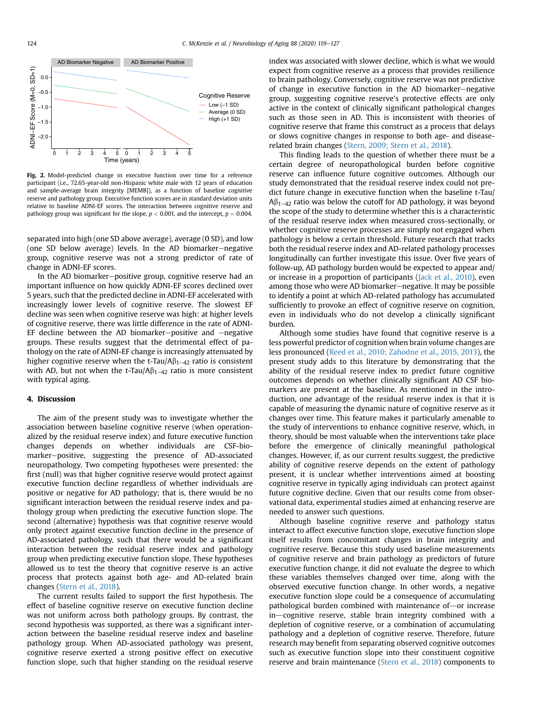<span id="page-5-0"></span>

Fig. 2. Model-predicted change in executive function over time for a reference participant (i.e., 72.65-year-old non-Hispanic white male with 12 years of education and sample-average brain integrity [MEMB]), as a function of baseline cognitive reserve and pathology group. Executive function scores are in standard deviation units relative to baseline ADNI-EF scores. The interaction between cognitive reserve and pathology group was significant for the slope,  $p < 0.001$ , and the intercept,  $p = 0.004$ .

separated into high (one SD above average), average (0 SD), and low (one SD below average) levels. In the AD biomarker-negative group, cognitive reserve was not a strong predictor of rate of change in ADNI-EF scores.

In the AD biomarker-positive group, cognitive reserve had an important influence on how quickly ADNI-EF scores declined over 5 years, such that the predicted decline in ADNI-EF accelerated with increasingly lower levels of cognitive reserve. The slowest EF decline was seen when cognitive reserve was high: at higher levels of cognitive reserve, there was little difference in the rate of ADNI-EF decline between the AD biomarker-positive and  $-$ negative groups. These results suggest that the detrimental effect of pathology on the rate of ADNI-EF change is increasingly attenuated by higher cognitive reserve when the t-Tau/A $\beta_{1-42}$  ratio is consistent with AD, but not when the t-Tau/A $\beta_{1-42}$  ratio is more consistent with typical aging.

# 4. Discussion

The aim of the present study was to investigate whether the association between baseline cognitive reserve (when operationalized by the residual reserve index) and future executive function changes depends on whether individuals are CSF-biomarker-positive, suggesting the presence of AD-associated neuropathology. Two competing hypotheses were presented: the first (null) was that higher cognitive reserve would protect against executive function decline regardless of whether individuals are positive or negative for AD pathology; that is, there would be no significant interaction between the residual reserve index and pathology group when predicting the executive function slope. The second (alternative) hypothesis was that cognitive reserve would only protect against executive function decline in the presence of AD-associated pathology, such that there would be a significant interaction between the residual reserve index and pathology group when predicting executive function slope. These hypotheses allowed us to test the theory that cognitive reserve is an active process that protects against both age- and AD-related brain changes [\(Stern et al., 2018](#page-8-2)).

The current results failed to support the first hypothesis. The effect of baseline cognitive reserve on executive function decline was not uniform across both pathology groups. By contrast, the second hypothesis was supported, as there was a significant interaction between the baseline residual reserve index and baseline pathology group. When AD-associated pathology was present, cognitive reserve exerted a strong positive effect on executive function slope, such that higher standing on the residual reserve index was associated with slower decline, which is what we would expect from cognitive reserve as a process that provides resilience to brain pathology. Conversely, cognitive reserve was not predictive of change in executive function in the AD biomarker-negative group, suggesting cognitive reserve's protective effects are only active in the context of clinically significant pathological changes such as those seen in AD. This is inconsistent with theories of cognitive reserve that frame this construct as a process that delays or slows cognitive changes in response to both age- and diseaserelated brain changes ([Stern, 2009; Stern et al., 2018\)](#page-8-1).

This finding leads to the question of whether there must be a certain degree of neuropathological burden before cognitive reserve can influence future cognitive outcomes. Although our study demonstrated that the residual reserve index could not predict future change in executive function when the baseline t-Tau/  $A\beta_{1-42}$  ratio was below the cutoff for AD pathology, it was beyond the scope of the study to determine whether this is a characteristic of the residual reserve index when measured cross-sectionally, or whether cognitive reserve processes are simply not engaged when pathology is below a certain threshold. Future research that tracks both the residual reserve index and AD-related pathology processes longitudinally can further investigate this issue. Over five years of follow-up, AD pathology burden would be expected to appear and/ or increase in a proportion of participants [\(Jack et al., 2010\)](#page-7-3), even among those who were AD biomarker-negative. It may be possible to identify a point at which AD-related pathology has accumulated sufficiently to provoke an effect of cognitive reserve on cognition, even in individuals who do not develop a clinically significant burden.

Although some studies have found that cognitive reserve is a less powerful predictor of cognition when brain volume changes are less pronounced ([Reed et al., 2010; Zahodne et al., 2015, 2013\)](#page-8-6), the present study adds to this literature by demonstrating that the ability of the residual reserve index to predict future cognitive outcomes depends on whether clinically significant AD CSF biomarkers are present at the baseline. As mentioned in the introduction, one advantage of the residual reserve index is that it is capable of measuring the dynamic nature of cognitive reserve as it changes over time. This feature makes it particularly amenable to the study of interventions to enhance cognitive reserve, which, in theory, should be most valuable when the interventions take place before the emergence of clinically meaningful pathological changes. However, if, as our current results suggest, the predictive ability of cognitive reserve depends on the extent of pathology present, it is unclear whether interventions aimed at boosting cognitive reserve in typically aging individuals can protect against future cognitive decline. Given that our results come from observational data, experimental studies aimed at enhancing reserve are needed to answer such questions.

Although baseline cognitive reserve and pathology status interact to affect executive function slope, executive function slope itself results from concomitant changes in brain integrity and cognitive reserve. Because this study used baseline measurements of cognitive reserve and brain pathology as predictors of future executive function change, it did not evaluate the degree to which these variables themselves changed over time, along with the observed executive function change. In other words, a negative executive function slope could be a consequence of accumulating pathological burden combined with maintenance of-or increase  $in$ -cognitive reserve, stable brain integrity combined with a depletion of cognitive reserve, or a combination of accumulating pathology and a depletion of cognitive reserve. Therefore, future research may benefit from separating observed cognitive outcomes such as executive function slope into their constituent cognitive reserve and brain maintenance [\(Stern et al., 2018\)](#page-8-2) components to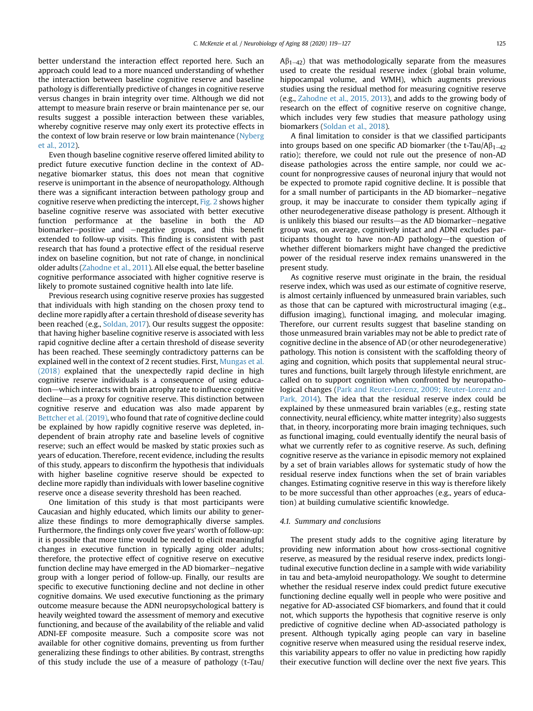better understand the interaction effect reported here. Such an approach could lead to a more nuanced understanding of whether the interaction between baseline cognitive reserve and baseline pathology is differentially predictive of changes in cognitive reserve versus changes in brain integrity over time. Although we did not attempt to measure brain reserve or brain maintenance per se, our results suggest a possible interaction between these variables, whereby cognitive reserve may only exert its protective effects in the context of low brain reserve or low brain maintenance ([Nyberg](#page-8-22) [et al., 2012\)](#page-8-22).

Even though baseline cognitive reserve offered limited ability to predict future executive function decline in the context of ADnegative biomarker status, this does not mean that cognitive reserve is unimportant in the absence of neuropathology. Although there was a significant interaction between pathology group and cognitive reserve when predicting the intercept, [Fig. 2](#page-5-0) shows higher baseline cognitive reserve was associated with better executive function performance at the baseline in both the AD biomarker-positive and  $-\text{negative}$  groups, and this benefit extended to follow-up visits. This finding is consistent with past research that has found a protective effect of the residual reserve index on baseline cognition, but not rate of change, in nonclinical older adults ([Zahodne et al., 2011](#page-8-3)). All else equal, the better baseline cognitive performance associated with higher cognitive reserve is likely to promote sustained cognitive health into late life.

Previous research using cognitive reserve proxies has suggested that individuals with high standing on the chosen proxy tend to decline more rapidly after a certain threshold of disease severity has been reached (e.g., [Soldan, 2017\)](#page-8-4). Our results suggest the opposite: that having higher baseline cognitive reserve is associated with less rapid cognitive decline after a certain threshold of disease severity has been reached. These seemingly contradictory patterns can be explained well in the context of 2 recent studies. First, [Mungas et al.](#page-8-5) [\(2018\)](#page-8-5) explained that the unexpectedly rapid decline in high cognitive reserve individuals is a consequence of using education-which interacts with brain atrophy rate to influence cognitive decline-as a proxy for cognitive reserve. This distinction between cognitive reserve and education was also made apparent by [Bettcher et al. \(2019\),](#page-7-14) who found that rate of cognitive decline could be explained by how rapidly cognitive reserve was depleted, independent of brain atrophy rate and baseline levels of cognitive reserve; such an effect would be masked by static proxies such as years of education. Therefore, recent evidence, including the results of this study, appears to disconfirm the hypothesis that individuals with higher baseline cognitive reserve should be expected to decline more rapidly than individuals with lower baseline cognitive reserve once a disease severity threshold has been reached.

One limitation of this study is that most participants were Caucasian and highly educated, which limits our ability to generalize these findings to more demographically diverse samples. Furthermore, the findings only cover five years' worth of follow-up: it is possible that more time would be needed to elicit meaningful changes in executive function in typically aging older adults; therefore, the protective effect of cognitive reserve on executive function decline may have emerged in the AD biomarker-negative group with a longer period of follow-up. Finally, our results are specific to executive functioning decline and not decline in other cognitive domains. We used executive functioning as the primary outcome measure because the ADNI neuropsychological battery is heavily weighted toward the assessment of memory and executive functioning, and because of the availability of the reliable and valid ADNI-EF composite measure. Such a composite score was not available for other cognitive domains, preventing us from further generalizing these findings to other abilities. By contrast, strengths of this study include the use of a measure of pathology (t-Tau/  $\mathsf{A}\beta_{1-42}$ ) that was methodologically separate from the measures used to create the residual reserve index (global brain volume, hippocampal volume, and WMH), which augments previous studies using the residual method for measuring cognitive reserve (e.g., [Zahodne et al., 2015, 2013\)](#page-8-23), and adds to the growing body of research on the effect of cognitive reserve on cognitive change, which includes very few studies that measure pathology using biomarkers [\(Soldan et al., 2018](#page-8-24)).

A final limitation to consider is that we classified participants into groups based on one specific AD biomarker (the t-Tau/A $\beta_{1-42}$ ratio); therefore, we could not rule out the presence of non-AD disease pathologies across the entire sample, nor could we account for nonprogressive causes of neuronal injury that would not be expected to promote rapid cognitive decline. It is possible that for a small number of participants in the AD biomarker-negative group, it may be inaccurate to consider them typically aging if other neurodegenerative disease pathology is present. Although it is unlikely this biased our results-as the AD biomarker-negative group was, on average, cognitively intact and ADNI excludes participants thought to have non-AD pathology—the question of whether different biomarkers might have changed the predictive power of the residual reserve index remains unanswered in the present study.

As cognitive reserve must originate in the brain, the residual reserve index, which was used as our estimate of cognitive reserve, is almost certainly influenced by unmeasured brain variables, such as those that can be captured with microstructural imaging (e.g., diffusion imaging), functional imaging, and molecular imaging. Therefore, our current results suggest that baseline standing on those unmeasured brain variables may not be able to predict rate of cognitive decline in the absence of AD (or other neurodegenerative) pathology. This notion is consistent with the scaffolding theory of aging and cognition, which posits that supplemental neural structures and functions, built largely through lifestyle enrichment, are called on to support cognition when confronted by neuropathological changes [\(Park and Reuter-Lorenz, 2009; Reuter-Lorenz and](#page-8-25) [Park, 2014](#page-8-25)). The idea that the residual reserve index could be explained by these unmeasured brain variables (e.g., resting state connectivity, neural efficiency, white matter integrity) also suggests that, in theory, incorporating more brain imaging techniques, such as functional imaging, could eventually identify the neural basis of what we currently refer to as cognitive reserve. As such, defining cognitive reserve as the variance in episodic memory not explained by a set of brain variables allows for systematic study of how the residual reserve index functions when the set of brain variables changes. Estimating cognitive reserve in this way is therefore likely to be more successful than other approaches (e.g., years of education) at building cumulative scientific knowledge.

# 4.1. Summary and conclusions

The present study adds to the cognitive aging literature by providing new information about how cross-sectional cognitive reserve, as measured by the residual reserve index, predicts longitudinal executive function decline in a sample with wide variability in tau and beta-amyloid neuropathology. We sought to determine whether the residual reserve index could predict future executive functioning decline equally well in people who were positive and negative for AD-associated CSF biomarkers, and found that it could not, which supports the hypothesis that cognitive reserve is only predictive of cognitive decline when AD-associated pathology is present. Although typically aging people can vary in baseline cognitive reserve when measured using the residual reserve index, this variability appears to offer no value in predicting how rapidly their executive function will decline over the next five years. This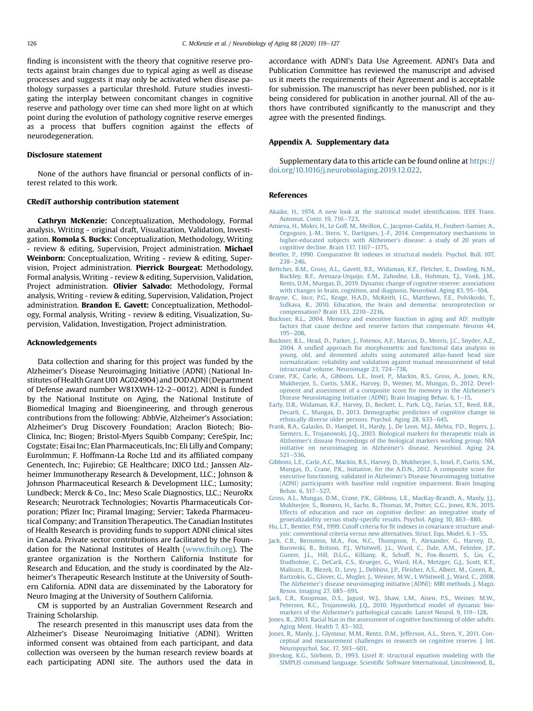finding is inconsistent with the theory that cognitive reserve protects against brain changes due to typical aging as well as disease processes and suggests it may only be activated when disease pathology surpasses a particular threshold. Future studies investigating the interplay between concomitant changes in cognitive reserve and pathology over time can shed more light on at which point during the evolution of pathology cognitive reserve emerges as a process that buffers cognition against the effects of neurodegeneration.

#### Disclosure statement

None of the authors have financial or personal conflicts of interest related to this work.

# CRediT authorship contribution statement

Cathryn McKenzie: Conceptualization, Methodology, Formal analysis, Writing - original draft, Visualization, Validation, Investigation. Romola S. Bucks: Conceptualization, Methodology, Writing - review & editing, Supervision, Project administration. **Michael** Weinborn: Conceptualization, Writing - review & editing, Supervision, Project administration. Pierrick Bourgeat: Methodology, Formal analysis, Writing - review & editing, Supervision, Validation, Project administration. Olivier Salvado: Methodology, Formal analysis, Writing - review & editing, Supervision, Validation, Project administration. Brandon E. Gavett: Conceptualization, Methodology, Formal analysis, Writing - review & editing, Visualization, Supervision, Validation, Investigation, Project administration.

#### Acknowledgements

Data collection and sharing for this project was funded by the Alzheimer's Disease Neuroimaging Initiative (ADNI) (National Institutes of Health Grant U01 AG024904) and DOD ADNI (Department of Defense award number W81XWH-12-2-0012). ADNI is funded by the National Institute on Aging, the National Institute of Biomedical Imaging and Bioengineering, and through generous contributions from the following: AbbVie, Alzheimer's Association; Alzheimer's Drug Discovery Foundation; Araclon Biotech; Bio-Clinica, Inc; Biogen; Bristol-Myers Squibb Company; CereSpir, Inc; Cogstate; Eisai Inc; Elan Pharmaceuticals, Inc; Eli Lilly and Company; EuroImmun; F. Hoffmann-La Roche Ltd and its affiliated company Genentech, Inc; Fujirebio; GE Healthcare; IXICO Ltd.; Janssen Alzheimer Immunotherapy Research & Development, LLC.; Johnson & Johnson Pharmaceutical Research & Development LLC.; Lumosity; Lundbeck; Merck & Co., Inc; Meso Scale Diagnostics, LLC.; NeuroRx Research; Neurotrack Technologies; Novartis Pharmaceuticals Corporation; Pfizer Inc; Piramal Imaging; Servier; Takeda Pharmaceutical Company; and Transition Therapeutics. The Canadian Institutes of Health Research is providing funds to support ADNI clinical sites in Canada. Private sector contributions are facilitated by the Foundation for the National Institutes of Health ([www.fnih.org](http://www.fnih.org)). The grantee organization is the Northern California Institute for Research and Education, and the study is coordinated by the Alzheimer's Therapeutic Research Institute at the University of Southern California. ADNI data are disseminated by the Laboratory for Neuro Imaging at the University of Southern California.

CM is supported by an Australian Government Research and Training Scholarship.

The research presented in this manuscript uses data from the Alzheimer's Disease Neuroimaging Initiative (ADNI). Written informed consent was obtained from each participant, and data collection was overseen by the human research review boards at each participating ADNI site. The authors used the data in

accordance with ADNI's Data Use Agreement. ADNI's Data and Publication Committee has reviewed the manuscript and advised us it meets the requirements of their Agreement and is acceptable for submission. The manuscript has never been published, nor is it being considered for publication in another journal. All of the authors have contributed significantly to the manuscript and they agree with the presented findings.

# Appendix A. Supplementary data

Supplementary data to this article can be found online at [https://](https://doi.org/10.1016/j.neurobiolaging.2019.12.022) [doi.org/10.1016/j.neurobiolaging.2019.12.022.](https://doi.org/10.1016/j.neurobiolaging.2019.12.022)

# <span id="page-7-12"></span>References

- <span id="page-7-0"></span>[Akaike, H., 1974. A new look at the statistical model identi](http://refhub.elsevier.com/S0197-4580(19)30451-8/sref1)fication. IEEE Trans. [Automat. Contr. 19, 716](http://refhub.elsevier.com/S0197-4580(19)30451-8/sref1)-[723](http://refhub.elsevier.com/S0197-4580(19)30451-8/sref1).
- [Amieva, H., Mokri, H., Le Goff, M., Meillon, C., Jacqmin-Gadda, H., Foubert-Samier, A.,](http://refhub.elsevier.com/S0197-4580(19)30451-8/sref2) [Orgogozo, J.-M., Stern, Y., Dartigues, J.-F., 2014. Compensatory mechanisms in](http://refhub.elsevier.com/S0197-4580(19)30451-8/sref2) [higher-educated subjects with Alzheimer](http://refhub.elsevier.com/S0197-4580(19)30451-8/sref2)'s disease: a study of 20 years of [cognitive decline. Brain 137, 1167](http://refhub.elsevier.com/S0197-4580(19)30451-8/sref2)-[1175](http://refhub.elsevier.com/S0197-4580(19)30451-8/sref2).
- <span id="page-7-14"></span><span id="page-7-10"></span>Bentler, P., 1990. Comparative fi[t indexes in structural models. Psychol. Bull. 107,](http://refhub.elsevier.com/S0197-4580(19)30451-8/sref3)  $238 - 246$  $238 - 246$  $238 - 246$
- [Bettcher, B.M., Gross, A.L., Gavett, B.E., Widaman, K.F., Fletcher, E., Dowling, N.M.,](http://refhub.elsevier.com/S0197-4580(19)30451-8/sref4) [Buckley, R.F., Arenaza-Urquijo, E.M., Zahodne, L.B., Hohman, T.J., Vonk, J.M.,](http://refhub.elsevier.com/S0197-4580(19)30451-8/sref4) [Rents, D.M., Mungas, D., 2019. Dynamic change of cognitive reserve: associations](http://refhub.elsevier.com/S0197-4580(19)30451-8/sref4) [with changes in brain, cognition, and diagnosis. Neurobiol. Aging 83, 95](http://refhub.elsevier.com/S0197-4580(19)30451-8/sref4)-[104.](http://refhub.elsevier.com/S0197-4580(19)30451-8/sref4)
- <span id="page-7-4"></span>[Brayne, C., Ince, P.G., Keage, H.A.D., McKeith, I.G., Matthews, F.E., Polvikoski, T.,](http://refhub.elsevier.com/S0197-4580(19)30451-8/sref5) [Sulkava, R., 2010. Education, the brain and dementia: neuroprotection or](http://refhub.elsevier.com/S0197-4580(19)30451-8/sref5)  $compensation? Brain 133, 2210-2216.$  $compensation? Brain 133, 2210-2216.$  $compensation? Brain 133, 2210-2216.$
- <span id="page-7-7"></span>[Buckner, R.L., 2004. Memory and executive function in aging and AD: multiple](http://refhub.elsevier.com/S0197-4580(19)30451-8/sref6) [factors that cause decline and reserve factors that compensate. Neuron 44,](http://refhub.elsevier.com/S0197-4580(19)30451-8/sref6)  $195 - 208.$  $195 - 208.$  $195 - 208.$  $195 - 208.$
- [Buckner, R.L., Head, D., Parker, J., Fotenos, A.F., Marcus, D., Morris, J.C., Snyder, A.Z.,](http://refhub.elsevier.com/S0197-4580(19)30451-8/sref7) 2004. A unifi[ed approach for morphometric and functional data analysis in](http://refhub.elsevier.com/S0197-4580(19)30451-8/sref7) [young, old, and demented adults using automated atlas-based head size](http://refhub.elsevier.com/S0197-4580(19)30451-8/sref7) [normalization: reliability and validation against manual measurement of total](http://refhub.elsevier.com/S0197-4580(19)30451-8/sref7) [intracranial volume. Neuroimage 23, 724](http://refhub.elsevier.com/S0197-4580(19)30451-8/sref7)-[738](http://refhub.elsevier.com/S0197-4580(19)30451-8/sref7).
- <span id="page-7-5"></span>[Crane, P.K., Carle, A., Gibbons, L.E., Insel, P., Mackin, R.S., Gross, A., Jones, R.N.,](http://refhub.elsevier.com/S0197-4580(19)30451-8/sref8) [Mukherjee, S., Curtis, S.M.K., Harvey, D., Weiner, M., Mungas, D., 2012. Devel](http://refhub.elsevier.com/S0197-4580(19)30451-8/sref8)[opment and assessment of a composite score for memory in the Alzheimer](http://refhub.elsevier.com/S0197-4580(19)30451-8/sref8)'s [Disease Neuroimaging Initiative \(ADNI\). Brain Imaging Behav. 6, 1](http://refhub.elsevier.com/S0197-4580(19)30451-8/sref8)-[15](http://refhub.elsevier.com/S0197-4580(19)30451-8/sref8).
- <span id="page-7-8"></span><span id="page-7-1"></span>[Early, D.R., Widaman, K.F., Harvey, D., Beckett, L., Park, L.Q., Farias, S.T., Reed, B.R.,](http://refhub.elsevier.com/S0197-4580(19)30451-8/sref9) [Decarli, C., Mungas, D., 2013. Demographic predictors of cognitive change in](http://refhub.elsevier.com/S0197-4580(19)30451-8/sref9) [ethnically diverse older persons. Psychol. Aging 28, 633](http://refhub.elsevier.com/S0197-4580(19)30451-8/sref9)-[645](http://refhub.elsevier.com/S0197-4580(19)30451-8/sref9).
- [Frank, R.A., Galasko, D., Hampel, H., Hardy, J., De Leon, M.J., Mehta, P.D., Rogers, J.,](http://refhub.elsevier.com/S0197-4580(19)30451-8/sref10) [Siemers, E., Trojanowski, J.Q., 2003. Biological markers for therapeutic trials in](http://refhub.elsevier.com/S0197-4580(19)30451-8/sref10) Alzheimer'[s disease Proceedings of the biological markers working group; NIA](http://refhub.elsevier.com/S0197-4580(19)30451-8/sref10) [initiative on neuroimaging in Alzheimer](http://refhub.elsevier.com/S0197-4580(19)30451-8/sref10)'s disease. Neurobiol. Aging 24,  $521 - 536.$  $521 - 536.$  $521 - 536.$
- <span id="page-7-9"></span>[Gibbons, L.E., Carle, A.C., Mackin, R.S., Harvey, D., Mukherjee, S., Insel, P., Curtis, S.M.,](http://refhub.elsevier.com/S0197-4580(19)30451-8/sref11) [Mungas, D., Crane, P.K., Initiative, for the A.D.N., 2012. A composite score for](http://refhub.elsevier.com/S0197-4580(19)30451-8/sref11) [executive functioning, validated in Alzheimer](http://refhub.elsevier.com/S0197-4580(19)30451-8/sref11)'s Disease Neuroimaging Initiative [\(ADNI\) participants with baseline mild cognitive impairment. Brain Imaging](http://refhub.elsevier.com/S0197-4580(19)30451-8/sref11) [Behav. 6, 517](http://refhub.elsevier.com/S0197-4580(19)30451-8/sref11)-[527.](http://refhub.elsevier.com/S0197-4580(19)30451-8/sref11)
- [Gross, A.L., Mungas, D.M., Crane, P.K., Gibbons, L.E., MacKay-Brandt, A., Manly, J.J.,](http://refhub.elsevier.com/S0197-4580(19)30451-8/sref12) [Mukherjee, S., Romero, H., Sachs, B., Thomas, M., Potter, G.G., Jones, R.N., 2015.](http://refhub.elsevier.com/S0197-4580(19)30451-8/sref12) [Effects of education and race on cognitive decline: an integrative study of](http://refhub.elsevier.com/S0197-4580(19)30451-8/sref12) [generalizability versus study-speci](http://refhub.elsevier.com/S0197-4580(19)30451-8/sref12)fic results. Psychol. Aging 30, 863–[880](http://refhub.elsevier.com/S0197-4580(19)30451-8/sref12).
- <span id="page-7-13"></span><span id="page-7-6"></span>[Hu, L.T., Bentler, P.M., 1999. Cutoff criteria for](http://refhub.elsevier.com/S0197-4580(19)30451-8/sref13) fit indexes in covariance structure analysis: conventional criteria versus new alternatives. Struct. Equ. Model.  $6.1-55$ .
- [Jack, C.R., Bernstein, M.A., Fox, N.C., Thompson, P., Alexander, G., Harvey, D.,](http://refhub.elsevier.com/S0197-4580(19)30451-8/sref14) [Borowski, B., Britson, P.J., Whitwell, J.L., Ward, C., Dale, A.M., Felmlee, J.P.,](http://refhub.elsevier.com/S0197-4580(19)30451-8/sref14) [Gunter, J.L., Hill, D.L.G., Killiany, R., Schuff, N., Fox-Bosetti, S., Lin, C.,](http://refhub.elsevier.com/S0197-4580(19)30451-8/sref14) [Studholme, C., DeCarli, C.S., Krueger, G., Ward, H.A., Metzger, G.J., Scott, K.T.,](http://refhub.elsevier.com/S0197-4580(19)30451-8/sref14) [Mallozzi, R., Blezek, D., Levy, J., Debbins, J.P., Fleisher, A.S., Albert, M., Green, R.,](http://refhub.elsevier.com/S0197-4580(19)30451-8/sref14) [Bartzokis, G., Glover, G., Mugler, J., Weiner, M.W., L Whitwell, J., Ward, C., 2008.](http://refhub.elsevier.com/S0197-4580(19)30451-8/sref14) The Alzheimer'[s disease neuroimaging initiative \(ADNI\): MRI methods. J. Magn.](http://refhub.elsevier.com/S0197-4580(19)30451-8/sref14) [Reson. Imaging 27, 685](http://refhub.elsevier.com/S0197-4580(19)30451-8/sref14)-[691.](http://refhub.elsevier.com/S0197-4580(19)30451-8/sref14)
- <span id="page-7-3"></span><span id="page-7-2"></span>[Jack, C.R., Knopman, D.S., Jagust, W.J., Shaw, L.M., Aisen, P.S., Weiner, M.W.,](http://refhub.elsevier.com/S0197-4580(19)30451-8/sref15) [Petersen, R.C., Trojanowski, J.Q., 2010. Hypothetical model of dynamic bio](http://refhub.elsevier.com/S0197-4580(19)30451-8/sref15)markers of the Alzheimer'[s pathological cascade. Lancet Neurol. 9, 119](http://refhub.elsevier.com/S0197-4580(19)30451-8/sref15)-[128](http://refhub.elsevier.com/S0197-4580(19)30451-8/sref15).
- [Jones, R., 2003. Racial bias in the assessment of cognitive functioning of older adults.](http://refhub.elsevier.com/S0197-4580(19)30451-8/sref16) [Aging Ment. Health 7, 83](http://refhub.elsevier.com/S0197-4580(19)30451-8/sref16)-[102.](http://refhub.elsevier.com/S0197-4580(19)30451-8/sref16)
- <span id="page-7-11"></span>[Jones, R., Manly, J., Glymour, M.M., Rentz, D.M., Jefferson, A.L., Stern, Y., 2011. Con](http://refhub.elsevier.com/S0197-4580(19)30451-8/sref17)[ceptual and measurement challenges in research on cognitive reserve. J. Int.](http://refhub.elsevier.com/S0197-4580(19)30451-8/sref17) [Neuropsychol. Soc. 17, 593](http://refhub.elsevier.com/S0197-4580(19)30451-8/sref17)-[601.](http://refhub.elsevier.com/S0197-4580(19)30451-8/sref17)
- [Jöreskog, K.G., Sörbom, D., 1993. Lisrel 8: structural equation modeling with the](http://refhub.elsevier.com/S0197-4580(19)30451-8/sref18) SIMPLIS command language. Scientifi[c Software International, Lincolnwood, IL.](http://refhub.elsevier.com/S0197-4580(19)30451-8/sref18)